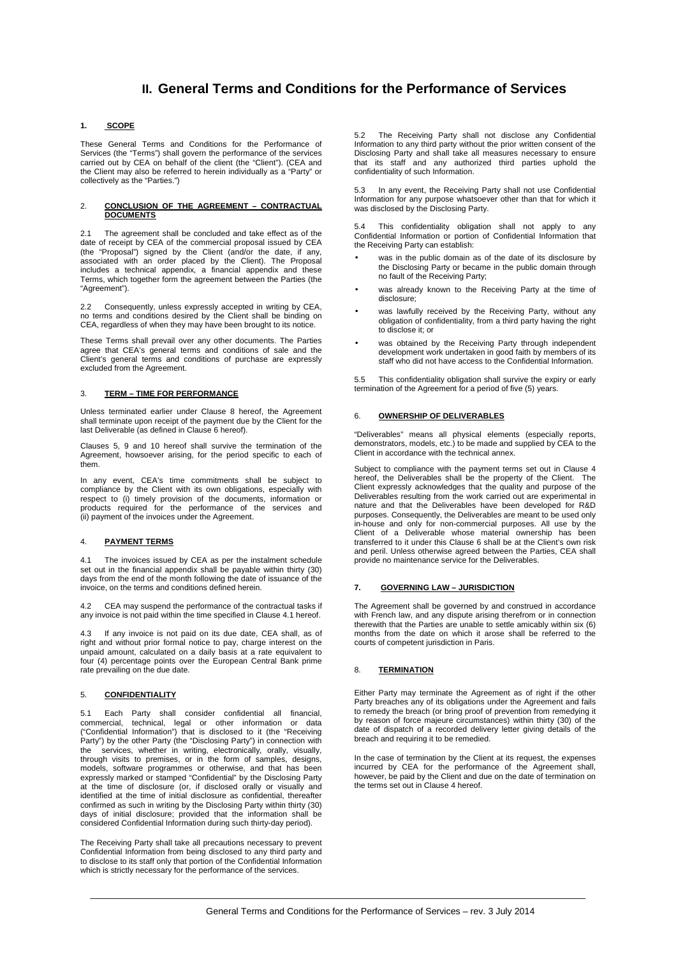# **II. General Terms and Conditions for the Performance of Services**

## **1. SCOPE**

These General Terms and Conditions for the Performance of Services (the "Terms") shall govern the performance of the services carried out by CEA on behalf of the client (the "Client"). (CEA and the Client may also be referred to herein individually as a "Party" or collectively as the "Parties.")

#### 2. **CONCLUSION OF THE AGREEMENT – CONTRACTUAL DOCUMENTS**

2.1 The agreement shall be concluded and take effect as of the date of receipt by CEA of the commercial proposal issued by CEA (the "Proposal") signed by the Client (and/or the date, if any, associated with an order placed by the Client). The Proposal includes a technical appendix, a financial appendix and these Terms, which together form the agreement between the Parties (the "Agreement").

2.2 Consequently, unless expressly accepted in writing by CEA, no terms and conditions desired by the Client shall be binding on CEA, regardless of when they may have been brought to its notice.

These Terms shall prevail over any other documents. The Parties agree that CEA's general terms and conditions of sale and the Client's general terms and conditions of purchase are expressly excluded from the Agreement.

# 3. **TERM – TIME FOR PERFORMANCE**

Unless terminated earlier under Clause 8 hereof, the Agreement shall terminate upon receipt of the payment due by the Client for the last Deliverable (as defined in Clause 6 hereof).

Clauses 5, 9 and 10 hereof shall survive the termination of the Agreement, howsoever arising, for the period specific to each of them.

In any event, CEA's time commitments shall be subject to compliance by the Client with its own obligations, especially with respect to (i) timely provision of the documents, information or products required for the performance of the services and (ii) payment of the invoices under the Agreement.

## 4. **PAYMENT TERMS**

4.1 The invoices issued by CEA as per the instalment schedule set out in the financial appendix shall be payable within thirty (30) days from the end of the month following the date of issuance of the invoice, on the terms and conditions defined herein.

4.2 CEA may suspend the performance of the contractual tasks if any invoice is not paid within the time specified in Clause 4.1 hereof.

4.3 If any invoice is not paid on its due date, CEA shall, as of right and without prior formal notice to pay, charge interest on the unpaid amount, calculated on a daily basis at a rate equivalent to four (4) percentage points over the European Central Bank prime rate prevailing on the due date.

#### 5. **CONFIDENTIALITY**

5.1 Each Party shall consider confidential all financial, commercial, technical, legal or other information or data ("Confidential Information") that is disclosed to it (the "Receiving Party") by the other Party (the "Disclosing Party") in connection with the services, whether in writing, electronically, orally, visually, through visits to premises, or in the form of samples, designs, models, software programmes or otherwise, and that has been expressly marked or stamped "Confidential" by the Disclosing Party at the time of disclosure (or, if disclosed orally or visually and identified at the time of initial disclosure as confidential, thereafter confirmed as such in writing by the Disclosing Party within thirty (30) days of initial disclosure; provided that the information shall be considered Confidential Information during such thirty-day period).

The Receiving Party shall take all precautions necessary to prevent Confidential Information from being disclosed to any third party and to disclose to its staff only that portion of the Confidential Information which is strictly necessary for the performance of the services.

5.2 The Receiving Party shall not disclose any Confidential Information to any third party without the prior written consent of the Disclosing Party and shall take all measures necessary to ensure that its staff and any authorized third parties uphold the confidentiality of such Information.

5.3 In any event, the Receiving Party shall not use Confidential Information for any purpose whatsoever other than that for which it was disclosed by the Disclosing Party.

This confidentiality obligation shall not apply to any Confidential Information or portion of Confidential Information that the Receiving Party can establish:

- was in the public domain as of the date of its disclosure by the Disclosing Party or became in the public domain through no fault of the Receiving Party;
- was already known to the Receiving Party at the time of disclosure;
- was lawfully received by the Receiving Party, without any obligation of confidentiality, from a third party having the right to disclose it; or
- was obtained by the Receiving Party through independent development work undertaken in good faith by members of its staff who did not have access to the Confidential Information.

5.5 This confidentiality obligation shall survive the expiry or early termination of the Agreement for a period of five (5) years.

#### 6. **OWNERSHIP OF DELIVERABLES**

"Deliverables" means all physical elements (especially reports, demonstrators, models, etc.) to be made and supplied by CEA to the Client in accordance with the technical annex.

Subject to compliance with the payment terms set out in Clause 4 hereof, the Deliverables shall be the property of the Client. The Client expressly acknowledges that the quality and purpose of the Deliverables resulting from the work carried out are experimental in nature and that the Deliverables have been developed for R&D purposes. Consequently, the Deliverables are meant to be used only in-house and only for non-commercial purposes. All use by the Client of a Deliverable whose material ownership has been transferred to it under this Clause 6 shall be at the Client's own risk and peril. Unless otherwise agreed between the Parties, CEA shall provide no maintenance service for the Deliverables.

#### **7. GOVERNING LAW – JURISDICTION**

The Agreement shall be governed by and construed in accordance with French law, and any dispute arising therefrom or in connection therewith that the Parties are unable to settle amicably within six (6) months from the date on which it arose shall be referred to the courts of competent jurisdiction in Paris.

#### 8. **TERMINATION**

Either Party may terminate the Agreement as of right if the other Party breaches any of its obligations under the Agreement and fails to remedy the breach (or bring proof of prevention from remedying it by reason of force majeure circumstances) within thirty (30) of the date of dispatch of a recorded delivery letter giving details of the breach and requiring it to be remedied.

In the case of termination by the Client at its request, the expenses incurred by CEA for the performance of the Agreement shall, however, be paid by the Client and due on the date of termination on the terms set out in Clause 4 hereof.

 $\bot$  , and the contribution of the contribution of the contribution of the contribution of the contribution of  $\bot$